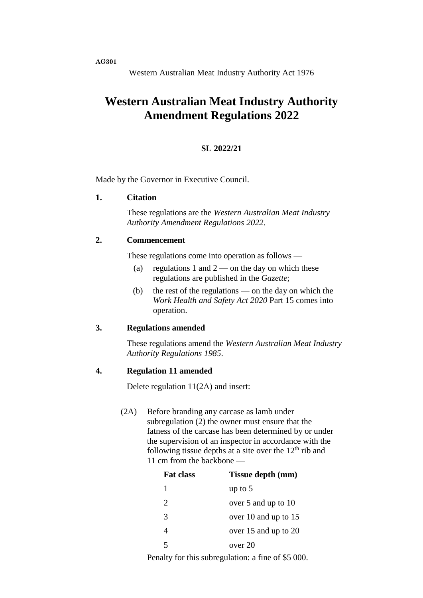**AG301**

Western Australian Meat Industry Authority Act 1976

# **Western Australian Meat Industry Authority Amendment Regulations 2022**

### **SL 2022/21**

Made by the Governor in Executive Council.

#### **1. Citation**

These regulations are the *Western Australian Meat Industry Authority Amendment Regulations 2022*.

## **2. Commencement**

These regulations come into operation as follows —

- (a) regulations 1 and  $2$  on the day on which these regulations are published in the *Gazette*;
- (b) the rest of the regulations on the day on which the *Work Health and Safety Act 2020* Part 15 comes into operation.

#### **3. Regulations amended**

These regulations amend the *Western Australian Meat Industry Authority Regulations 1985*.

#### **4. Regulation 11 amended**

Delete regulation 11(2A) and insert:

(2A) Before branding any carcase as lamb under subregulation (2) the owner must ensure that the fatness of the carcase has been determined by or under the supervision of an inspector in accordance with the following tissue depths at a site over the  $12<sup>th</sup>$  rib and 11 cm from the backbone —

| <b>Fat class</b>      | Tissue depth (mm)    |
|-----------------------|----------------------|
| 1                     | up to $5$            |
| $\mathcal{D}_{\cdot}$ | over 5 and up to 10  |
| 3                     | over 10 and up to 15 |
|                       | over 15 and up to 20 |
| 5                     | over 20              |
|                       |                      |

Penalty for this subregulation: a fine of \$5 000.